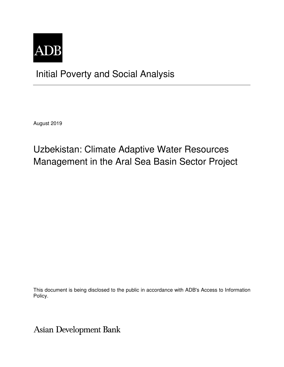

# Initial Poverty and Social Analysis

August 2019

# Uzbekistan: Climate Adaptive Water Resources Management in the Aral Sea Basin Sector Project

This document is being disclosed to the public in accordance with ADB's Access to Information Policy.

**Asian Development Bank**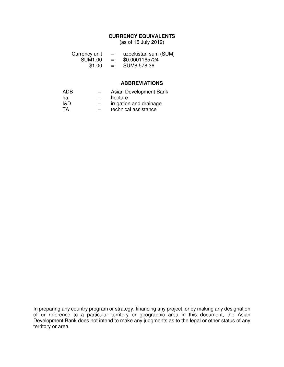# **CURRENCY EQUIVALENTS**

(as of 15 July 2019)

| Currency unit  |     | uzbekistan sum (SUM) |
|----------------|-----|----------------------|
| <b>SUM1.00</b> | $=$ | \$0.0001165724       |
| \$1.00         | $=$ | SUM8,578.36          |

## **ABBREVIATIONS**

| ADB. | $\overline{\phantom{0}}$ | Asian Development Bank  |
|------|--------------------------|-------------------------|
| ha   | $-$                      | hectare                 |
| 1&D  | $-$                      | irrigation and drainage |
| TA.  | $\overline{\phantom{0}}$ | technical assistance    |

In preparing any country program or strategy, financing any project, or by making any designation of or reference to a particular territory or geographic area in this document, the Asian Development Bank does not intend to make any judgments as to the legal or other status of any territory or area.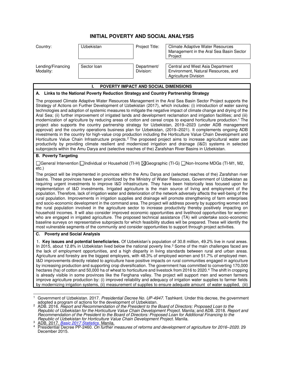# **INITIAL POVERTY AND SOCIAL ANALYSIS**

| Country:                                                                             | Uzbekistan  | <b>Project Title:</b>    | Climate Adaptive Water Resources<br>Management in the Aral Sea Basin Sector<br>Project                                                                                                                                          |  |  |  |
|--------------------------------------------------------------------------------------|-------------|--------------------------|---------------------------------------------------------------------------------------------------------------------------------------------------------------------------------------------------------------------------------|--|--|--|
| Lending/Financing<br>Modality:                                                       | Sector Ioan | Department/<br>Division: | Central and West Asia Department<br>Environment, Natural Resources, and<br><b>Agriculture Division</b>                                                                                                                          |  |  |  |
| <b>POVERTY IMPACT AND SOCIAL DIMENSIONS</b>                                          |             |                          |                                                                                                                                                                                                                                 |  |  |  |
| A. Links to the National Poverty Reduction Strategy and Country Partnership Strategy |             |                          |                                                                                                                                                                                                                                 |  |  |  |
|                                                                                      |             |                          | The proposed Climate Adaptive Water Resources Management in the Aral Sea Basin Sector Project supports the<br>Strategy of Actions on Eurther Development of Uzbekistan (2017), which includes: (i) introduction of water saying |  |  |  |

Strategy of Actions on Further Development of Uzbekistan (2017), which includes: (i) introduction of water technologies and adoption of systemic measures to mitigate the negative impact of climate change and drying of the Aral Sea; (ii) further improvement of irrigated lands and development reclamation and irrigation facilities; and (iii) modernization of agriculture by reducing areas of cotton and cereal crops to expand horticulture production.<sup>1</sup> The project also supports the country partnership strategy for Uzbekistan, 2019–2023 (under ADB management approval) and the country operations business plan for Uzbekistan, (2019–2021). It complements ongoing ADB investments in the country for high-value crop production including the Horticulture Value Chain Development and Horticulture Value Chain Infrastructure projects.<sup>2</sup> The proposed project aims to increase agricultural water use productivity by providing climate resilient and modernized irrigation and drainage (I&D) systems in selected subprojects within the Amu Darya and (selective reaches of the) Zarafshan River Basins in Uzbekistan.

## **B. Poverty Targeting**

□General Intervention □Individual or Household (TI-H) ⊠Geographic (TI-G) □Non-Income MDGs (TI-M1, M2, etc.)

The project will be implemented in provinces within the Amu Darya and (selected reaches of the) Zarafshan river basins. These provinces have been prioritized by the Ministry of Water Resources, Government of Uzbekistan as requiring urgent investments to improve I&D infrastructure. They have been historically less focused upon for implementation of I&D investments. Irrigated agriculture is the main source of living and employment of the population. Therefore, lack of irrigation water and deterioration of the network adversely affects the well-being of the rural population. Improvements in irrigation supplies and drainage will promote strengthening of farm enterprises and socio-economic development in the command area. The project will address poverty by supporting women and the rural population involved in the agriculture sector to increase productivity thereby positively impacting on household incomes. It will also consider improved economic opportunities and livelihood opportunities for women who are engaged in irrigated agriculture. The proposed technical assistance (TA) will undertake socio-economic baseline surveys on representative subprojects for which feasibility studies will be prepared. These will identify the most vulnerable segments of the community and consider opportunities to support through project activities.

### **C. Poverty and Social Analysis**

1. **Key issues and potential beneficiaries.** Of Uzbekistan's population of 30.8 million, 49.2% live in rural areas. In 2015, about 12.8% in Uzbekistan lived below the national poverty line.<sup>3</sup> Some of the main challenges faced are the lack of employment opportunities, and a high disparity in living standards between rural and urban areas. Agriculture and forestry are the biggest employers, with 48.3% of employed women and 51.7% of employed men. I&D improvements directly related to agriculture have positive impacts on rural communities engaged in agriculture by increasing production and supporting crop diversification. The government has committed to converting 170,000 hectares (ha) of cotton and 50,000 ha of wheat to horticulture and livestock from 2016 to 2020.<sup>4</sup> The shift in cropping is already visible in some provinces like the Ferghana valley. The project will support men and women farmers improve agriculture production by: (i) improved reliability and adequacy of irrigation water supplies to farmer fields by modernizing irrigation systems, (ii) measurement of supplies to ensure adequate amount of water supplied, (iii)

 $\overline{a}$ 1 Government of Uzbekistan. 2017. *Presidential Decree No. UP-4947.* Tashkent. Under this decree, the government adopted a program of actions for the development of Uzbekistan.

<sup>2</sup> ADB. 2016. *Report and Recommendation of the President to the Board of Directors: Proposed Loan to the Republic of Uzbekistan for the Horticulture Value Chain Development Project*. Manila; and ADB. 2018. *Report and Recommendation of the President to the Board of Directors: Proposed Loan for Additional Financing to the Republic of Uzbekistan for Horticulture Value Chain Development Project*. Manila.

<sup>3</sup> ADB. 2017. *[Basic 2017 Statistics](https://www.adb.org/sites/default/files/publication/298061/basic-statistics-2017.pdf)*. Manila.

<sup>4</sup> Presidential Decree PP-2460. *On further measures of reforms and development of agriculture for 2016–2020*. 29 December 2015.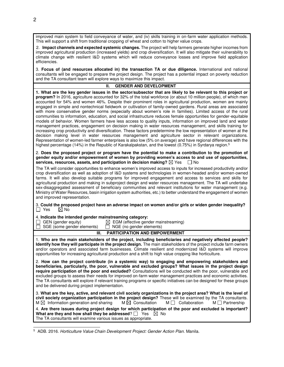improved main system to field conveyance of water, and (iv) skills training in on-farm water application methods. This will support a shift from traditional cropping of wheat and cotton to higher value crops.

2. **Impact channels and expected systemic changes.** The project will help farmers generate higher incomes from improved agricultural production (increased yields) and crop diversification. It will also mitigate their vulnerability to climate change with resilient I&D systems which will reduce conveyance losses and improve field application efficiencies.

3. **Focus of (and resources allocated in) the transaction TA or due diligence.** International and national consultants will be engaged to prepare the project design. The project has a potential impact on poverty reduction and the TA consultant team will explore ways to maximize this impact.

### **II. GENDER AND DEVELOPMENT**

**1. What are the key gender issues in the sector/subsector that are likely to be relevant to this project or program?** In 2016, agriculture accounted for 32% of the total workforce (or about 10 million people), of which men accounted for 54% and women 46%. Despite their prominent roles in agricultural production, women are mainly engaged in simple and nontechnical fieldwork or cultivation of family-owned gardens. Rural areas are associated with more conservative gender norms (especially about women's role in families). Limited access of the rural communities to information, education, and social infrastructure reduces female opportunities for gender-equitable models of behavior. Women farmers have less access to quality inputs, information on improved land and water management practices, engagement on decision making in water resources management, and skills training for increasing crop productivity and diversification. These factors predetermine the low representation of women at the decision making level in water resources management and agriculture sector in relevant organizations. Representation of women-led farmer enterprises is also low (5% on average) and have regional differences with the highest percentage (14%) in the Republic of Karakalpakstan, and the lowest (0.75%) in Syrdarya region.<sup>5</sup>

2. **Does the proposed project or program have the potential to make a contribution to the promotion of gender equity and/or empowerment of women by providing women's access to and use of opportunities, services, resources, assets, and participation in decision making?** ⊠ Yes  $\Box$  No

The TA will consider opportunities to enhance women's improved access to inputs for increased productivity and/or crop diversification as well as adoption of I&D systems and technologies in women-headed and/or women-owned farms. It will also develop suitable programs for improved engagement and access to services and skills for agricultural production and making in subproject design and water resources management. The TA will undertake sex-disaggregated assessment of beneficiary communities and relevant institutions for water management (e.g. Ministry of Water Resources, basin irrigation system authorities, etc.) to better understand the engagement of women and improved representation.

#### 3. **Could the proposed project have an adverse impact on women and/or girls or widen gender inequality?**  $\boxtimes$  No

#### 4. **Indicate the intended gender mainstreaming category:**

 $\Box$  SGE (some gender elements)

GEN (gender equity)  $\boxtimes$  EGM (effective gender mainstreaming)  $\Box$  SGE (some gender elements)  $\Box$  NGE (no gender elements)

### **III. PARTICIPATION AND EMPOWERMENT**

1. **Who are the main stakeholders of the project, including beneficiaries and negatively affected people? Identify how they will participate in the project design.** The main stakeholders of the project include farm owners and/or operators and associated farm businesses. Climate resilient and modernized I&D systems will improve opportunities for increasing agricultural production and a shift to high value cropping like horticulture.

2. **How can the project contribute (in a systemic way) to engaging and empowering stakeholders and beneficiaries, particularly, the poor, vulnerable and excluded groups? What issues in the project design require participation of the poor and excluded?** Consultations will be conducted with the poor, vulnerable and excluded groups to assess their needs for improved on-farm water management practices and economic activities. The TA consultants will explore if relevant training programs or specific initiatives can be designed for these groups and be delivered during project implementation.

| 3. What are the key, active, and relevant civil society organizations in the project area? What is the level of                                                                                                                |                            |                 |                      |
|--------------------------------------------------------------------------------------------------------------------------------------------------------------------------------------------------------------------------------|----------------------------|-----------------|----------------------|
| civil society organization participation in the project design? These will be examined by the TA consultants.                                                                                                                  |                            |                 |                      |
| $M \boxtimes$ Information generation and sharing                                                                                                                                                                               | $M \boxtimes$ Consultation | M Collaboration | M $\Box$ Partnership |
| . Other the control of the barreless and the second control of the second the second control of the second control of the second control of the second control of the second control of the second control of the second contr |                            |                 |                      |

4. **Are there issues during project design for which participation of the poor and excluded is important? What are they and how shall they be addressed**?  $\Box$  Yes  $\boxtimes$  No The TA consultants will examine various issues as appropriate.

 $\overline{a}$ 5 ADB. 2016*. Horticulture Value Chain Development Project: Gender Action Plan.* Manila.